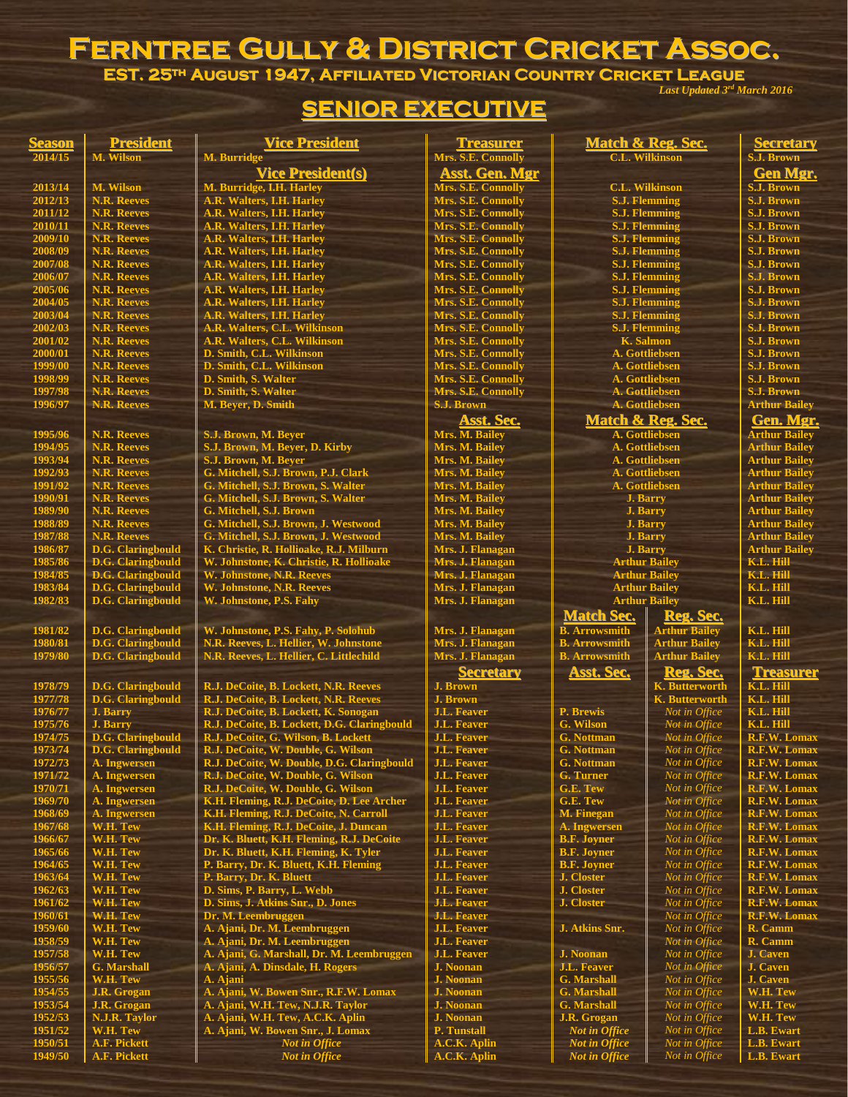## **Ferntree Gully & District Cricket Assoc.**

**EST. 25th August 1947, Affiliated Victorian Country Cricket League** *Last Updated 3 rd March 2016*

|                    |                                                | <b>SENIOR EXECUTIVE</b>                                                          |                                          |                                        |                                              |                                              |
|--------------------|------------------------------------------------|----------------------------------------------------------------------------------|------------------------------------------|----------------------------------------|----------------------------------------------|----------------------------------------------|
| <b>Season</b>      | <b>President</b>                               | <b>Vice President</b>                                                            | <b>Treasurer</b>                         |                                        | Match & Reg. Sec.                            | <b>Secretary</b>                             |
| 2014/15            | M. Wilson                                      | M. Burridge                                                                      | Mrs. S.E. Connolly                       |                                        | <b>C.L. Wilkinson</b>                        | S.J. Brown                                   |
|                    |                                                | <b>Vice President(s)</b>                                                         | <b>Asst. Gen. Mgr</b>                    |                                        |                                              | <b>Gen Mgr.</b>                              |
| 2013/14            | M. Wilson                                      | M. Burridge, I.H. Harley                                                         | Mrs. S.E. Connolly                       |                                        | <b>C.L. Wilkinson</b>                        | <b>S.J. Brown</b>                            |
| 2012/13            | <b>N.R. Reeves</b>                             | A.R. Walters, I.H. Harley                                                        | Mrs. S.E. Connolly                       |                                        | <b>S.J. Flemming</b>                         | <b>S.J. Brown</b>                            |
| 2011/12            | <b>N.R. Reeves</b>                             | A.R. Walters, I.H. Harley                                                        | Mrs. S.E. Connolly                       |                                        | <b>S.J. Flemming</b>                         | <b>S.J. Brown</b><br><b>S.J. Brown</b>       |
| 2010/11<br>2009/10 | <b>N.R. Reeves</b><br><b>N.R. Reeves</b>       | A.R. Walters, I.H. Harley<br>A.R. Walters, I.H. Harley                           | Mrs. S.E. Connolly<br>Mrs. S.E. Connolly |                                        | <b>S.J. Flemming</b><br><b>S.J. Flemming</b> | <b>S.J. Brown</b>                            |
| 2008/09            | <b>N.R. Reeves</b>                             | A.R. Walters, I.H. Harley                                                        | Mrs. S.E. Connolly                       |                                        | <b>S.J. Flemming</b>                         | <b>S.J. Brown</b>                            |
| 2007/08            | <b>N.R. Reeves</b>                             | A.R. Walters, I.H. Harley                                                        | Mrs. S.E. Connolly                       |                                        | <b>S.J. Flemming</b>                         | <b>S.J. Brown</b>                            |
| 2006/07            | <b>N.R. Reeves</b>                             | A.R. Walters, I.H. Harley                                                        | Mrs. S.E. Connolly                       |                                        | <b>S.J. Flemming</b>                         | <b>S.J. Brown</b>                            |
| 2005/06            | <b>N.R. Reeves</b>                             | A.R. Walters, I.H. Harley                                                        | Mrs. S.E. Connolly                       |                                        | <b>S.J. Flemming</b>                         | <b>S.J. Brown</b>                            |
| 2004/05            | <b>N.R. Reeves</b>                             | A.R. Walters, I.H. Harley                                                        | Mrs. S.E. Connolly                       |                                        | <b>S.J. Flemming</b>                         | <b>S.J. Brown</b>                            |
| 2003/04            | <b>N.R. Reeves</b>                             | A.R. Walters, I.H. Harley                                                        | Mrs. S.E. Connolly                       |                                        | <b>S.J. Flemming</b>                         | <b>S.J. Brown</b>                            |
| 2002/03            | <b>N.R. Reeves</b>                             | A.R. Walters, C.L. Wilkinson                                                     | Mrs. S.E. Connolly                       |                                        | <b>S.J. Flemming</b>                         | <b>S.J. Brown</b>                            |
| 2001/02            | <b>N.R. Reeves</b>                             | A.R. Walters, C.L. Wilkinson                                                     | Mrs. S.E. Connolly                       |                                        | K. Salmon                                    | <b>S.J. Brown</b>                            |
| 2000/01<br>1999/00 | <b>N.R. Reeves</b><br><b>N.R. Reeves</b>       | D. Smith, C.L. Wilkinson<br>D. Smith, C.L. Wilkinson                             | Mrs. S.E. Connolly<br>Mrs. S.E. Connolly |                                        | A. Gottliebsen<br>A. Gottliebsen             | <b>S.J. Brown</b><br><b>S.J. Brown</b>       |
| 1998/99            | <b>N.R. Reeves</b>                             | <b>D. Smith, S. Walter</b>                                                       | Mrs. S.E. Connolly                       |                                        | A. Gottliebsen                               | <b>S.J. Brown</b>                            |
| 1997/98            | <b>N.R. Reeves</b>                             | D. Smith, S. Walter                                                              | Mrs. S.E. Connolly                       |                                        | A. Gottliebsen                               | <b>S.J. Brown</b>                            |
| 1996/97            | <b>N.R. Reeves</b>                             | M. Beyer, D. Smith                                                               | <b>S.J. Brown</b>                        |                                        | A. Gottliebsen                               | <b>Arthur Bailey</b>                         |
|                    |                                                |                                                                                  | Asst. Sec.                               |                                        | Match & Reg. Sec.                            | Gen. Mgr.                                    |
| 1995/96            | <b>N.R. Reeves</b>                             | S.J. Brown, M. Beyer                                                             | Mrs. M. Bailey                           |                                        | A. Gottliebsen                               | <b>Arthur Bailey</b>                         |
| 1994/95            | <b>N.R. Reeves</b>                             | S.J. Brown, M. Beyer, D. Kirby                                                   | Mrs. M. Bailey                           |                                        | A. Gottliebsen                               | <b>Arthur Bailey</b>                         |
| 1993/94            | <b>N.R. Reeves</b>                             | S.J. Brown, M. Bever                                                             | Mrs. M. Bailey                           |                                        | A. Gottliebsen                               | <b>Arthur Bailey</b>                         |
| 1992/93            | <b>N.R. Reeves</b>                             | G. Mitchell, S.J. Brown, P.J. Clark                                              | Mrs. M. Bailey                           |                                        | A. Gottliebsen                               | <b>Arthur Bailey</b>                         |
| 1991/92            | <b>N.R. Reeves</b>                             | G. Mitchell, S.J. Brown, S. Walter                                               | Mrs. M. Bailey                           |                                        | A. Gottliebsen                               | <b>Arthur Bailey</b>                         |
| 1990/91            | <b>N.R. Reeves</b>                             | G. Mitchell, S.J. Brown, S. Walter                                               | Mrs. M. Bailey                           | <b>J. Barry</b>                        |                                              | <b>Arthur Bailey</b>                         |
| 1989/90            | <b>N.R. Reeves</b>                             | G. Mitchell, S.J. Brown                                                          | Mrs. M. Bailey                           |                                        | <b>J. Barry</b>                              | <b>Arthur Bailey</b>                         |
| 1988/89            | <b>N.R. Reeves</b>                             | G. Mitchell, S.J. Brown, J. Westwood                                             | Mrs. M. Bailey                           |                                        | <b>J. Barry</b>                              | <b>Arthur Bailey</b>                         |
| 1987/88<br>1986/87 | <b>N.R. Reeves</b><br><b>D.G. Claringbould</b> | G. Mitchell, S.J. Brown, J. Westwood<br>K. Christie, R. Hollioake, R.J. Milburn  | Mrs. M. Bailey<br>Mrs. J. Flanagan       | <b>J. Barry</b>                        | <b>J. Barry</b>                              | <b>Arthur Bailey</b><br><b>Arthur Bailey</b> |
| 1985/86            | <b>D.G. Claringbould</b>                       | W. Johnstone, K. Christie, R. Hollioake                                          | Mrs. J. Flanagan                         |                                        | <b>Arthur Bailey</b>                         | K.L. Hill                                    |
| 1984/85            | <b>D.G. Claringbould</b>                       | W. Johnstone, N.R. Reeves                                                        | Mrs. J. Flanagan                         |                                        | <b>Arthur Bailey</b>                         | K.L. Hill                                    |
| 1983/84            | <b>D.G. Claringbould</b>                       | W. Johnstone, N.R. Reeves                                                        | Mrs. J. Flanagan                         | <b>Arthur Bailey</b>                   |                                              | <b>K.L. Hill</b>                             |
| 1982/83            | <b>D.G. Claringbould</b>                       | W. Johnstone, P.S. Fahv                                                          | Mrs. J. Flanagan                         |                                        | <b>Arthur Bailey</b>                         | <b>K.L. Hill</b>                             |
|                    |                                                |                                                                                  |                                          | <b>Match Sec.</b>                      | Reg. Sec.                                    |                                              |
| 1981/82            | <b>D.G. Claringbould</b>                       | W. Johnstone, P.S. Fahy, P. Solohub                                              | Mrs. J. Flanagan                         | <b>B.</b> Arrowsmith                   | <b>Arthur Bailey</b>                         | K.L. Hill                                    |
| 1980/81            | <b>D.G. Claringbould</b>                       | N.R. Reeves, L. Hellier, W. Johnstone                                            | Mrs. J. Flanagan                         | <b>B.</b> Arrowsmith                   | <b>Arthur Bailey</b>                         | K.L. Hill                                    |
| 1979/80            | <b>D.G.</b> Claringbould                       | N.R. Reeves, L. Hellier, C. Littlechild                                          | Mrs. J. Flanagan                         | <b>B.</b> Arrowsmith                   | <b>Arthur Bailey</b>                         | K.L. Hill                                    |
|                    |                                                |                                                                                  | <b>Secretary</b>                         | <b>Asst. Sec.</b>                      | Reg. Sec.                                    | <b>Treasurer</b>                             |
| 1978/79            | <b>D.G. Claringbould</b>                       | R.J. DeCoite, B. Lockett, N.R. Reeves                                            | <b>J. Brown</b>                          |                                        | <b>K. Butterworth</b>                        | K.L. Hill                                    |
| 1977/78            | <b>D.G. Claringbould</b>                       | R.J. DeCoite, B. Lockett, N.R. Reeves                                            | <b>J. Brown</b>                          |                                        | <b>K.</b> Butterworth                        | K.L. Hill                                    |
| 1976/77            | <b>J. Barry</b>                                | R.J. DeCoite, B. Lockett, K. Sonogan                                             | <b>J.L. Feaver</b>                       | P. Brewis                              | Not in Office                                | K.L. Hill                                    |
| 1975/76            | <b>J. Barry</b>                                | R.J. DeCoite, B. Lockett, D.G. Claringbould                                      | <b>J.L. Feaver</b>                       | G. Wilson                              | Not in Office                                | K.L. Hill                                    |
| 1974/75            | <b>D.G.</b> Claringbould                       | R.J. DeCoite, G. Wilson, B. Lockett                                              | <b>J.L. Feaver</b>                       | <b>G.</b> Nottman                      | Not in Office                                | <b>R.F.W. Lomax</b>                          |
| 1973/74<br>1972/73 | <b>D.G. Claringbould</b>                       | R.J. DeCoite, W. Double, G. Wilson<br>R.J. DeCoite, W. Double, D.G. Claringbould | <b>J.L. Feaver</b><br><b>J.L. Feaver</b> | <b>G.</b> Nottman<br><b>G.</b> Nottman | Not in Office<br>Not in Office               | <b>R.F.W. Lomax</b><br><b>R.F.W. Lomax</b>   |
| 1971/72            | A. Ingwersen<br>A. Ingwersen                   | R.J. DeCoite, W. Double, G. Wilson                                               | <b>J.L. Feaver</b>                       | <b>G. Turner</b>                       | Not in Office                                | <b>R.F.W. Lomax</b>                          |
| 1970/71            | A. Ingwersen                                   | R.J. DeCoite, W. Double, G. Wilson                                               | <b>J.L. Feaver</b>                       | G.E. Tew                               | Not in Office                                | R.F.W. Lomax                                 |
| 1969/70            | A. Ingwersen                                   | K.H. Fleming, R.J. DeCoite, D. Lee Archer                                        | <b>J.L. Feaver</b>                       | G.E. Tew                               | Not in Office                                | <b>R.F.W. Lomax</b>                          |
| 1968/69            | A. Ingwersen                                   | K.H. Fleming, R.J. DeCoite, N. Carroll                                           | <b>J.L. Feaver</b>                       | <b>M. Finegan</b>                      | Not in Office                                | <b>R.F.W. Lomax</b>                          |
| 1967/68            | W.H. Tew                                       | K.H. Fleming, R.J. DeCoite, J. Duncan                                            | <b>J.L. Feaver</b>                       | A. Ingwersen                           | Not in Office                                | <b>R.F.W. Lomax</b>                          |
| 1966/67            | W.H. Tew                                       | Dr. K. Bluett, K.H. Fleming, R.J. DeCoite                                        | <b>J.L. Feaver</b>                       | <b>B.F. Joyner</b>                     | Not in Office                                | <b>R.F.W. Lomax</b>                          |
| 1965/66            | W.H. Tew                                       | Dr. K. Bluett, K.H. Fleming, K. Tyler                                            | <b>J.L. Feaver</b>                       | <b>B.F. Joyner</b>                     | Not in Office                                | <b>R.F.W. Lomax</b>                          |
| 1964/65            | W.H. Tew                                       | P. Barry, Dr. K. Bluett, K.H. Fleming                                            | <b>J.L. Feaver</b>                       | <b>B.F. Joyner</b>                     | Not in Office                                | R.F.W. Lomax                                 |
| 1963/64            | W.H. Tew                                       | P. Barry, Dr. K. Bluett                                                          | <b>J.L. Feaver</b>                       | J. Closter                             | Not in Office                                | R.F.W. Lomax                                 |
| 1962/63<br>1961/62 | W.H. Tew<br>W.H. Tew                           | D. Sims, P. Barry, L. Webb<br>D. Sims, J. Atkins Snr., D. Jones                  | <b>J.L. Feaver</b><br><b>J.L. Feaver</b> | J. Closter<br>J. Closter               | Not in Office                                | <b>R.F.W. Lomax</b><br><b>R.F.W. Lomax</b>   |
| 1960/61            | W.H. Tew                                       | Dr. M. Leembruggen                                                               | <b>J.L. Feaver</b>                       |                                        | Not in Office<br>Not in Office               | R.F.W. Lomax                                 |
| 1959/60            | W.H. Tew                                       | A. Ajani, Dr. M. Leembruggen                                                     | <b>J.L. Feaver</b>                       | J. Atkins Snr.                         | Not in Office                                | R. Camm                                      |
| 1958/59            | W.H. Tew                                       | A. Ajani, Dr. M. Leembruggen                                                     | <b>J.L. Feaver</b>                       |                                        | Not in Office                                | R. Camm                                      |
| 1957/58            | W.H. Tew                                       | A. Ajani, G. Marshall, Dr. M. Leembruggen                                        | <b>J.L. Feaver</b>                       | <b>J. Noonan</b>                       | Not in Office                                | <b>J.</b> Caven                              |
| 1956/57            | <b>G. Marshall</b>                             | A. Ajani, A. Dinsdale, H. Rogers                                                 | <b>J. Noonan</b>                         | <b>J.L. Feaver</b>                     | Not in Office                                | <b>J.</b> Caven                              |
| 1955/56            | W.H. Tew                                       | A. Ajani                                                                         | <b>J. Noonan</b>                         | <b>G. Marshall</b>                     | Not in Office                                | J. Caven                                     |
| 1954/55            | <b>J.R. Grogan</b>                             | A. Ajani, W. Bowen Snr., R.F.W. Lomax                                            | <b>J. Noonan</b>                         | <b>G. Marshall</b>                     | Not in Office                                | W.H. Tew                                     |

**1953/54 J.R. Grogan A. Ajani, W.H. Tew, N.J.R. Taylor J. Noonan G. Marshall** *Not in Office* **W.H. Tew 1952/53 N.J.R. Taylor A. Ajani, W.H. Tew, A.C.K. Aplin J. Noonan J.R. Grogan** *Not in Office* **W.H. Tew 1951/52 W.H. Tew A. Ajani, W. Bowen Snr., J. Lomax P. Tunstall** *Not in Office Not in Office* **L.B. Ewart 1950/51 A.F. Pickett** *Not in Office* **A.C.K. Aplin** *Not in Office Not in Office* **L.B. Ewart 1949/50 A.F. Pickett** *Not in Office* **A.C.K. Aplin** *Not in Office Not in Office* **L.B. Ewart**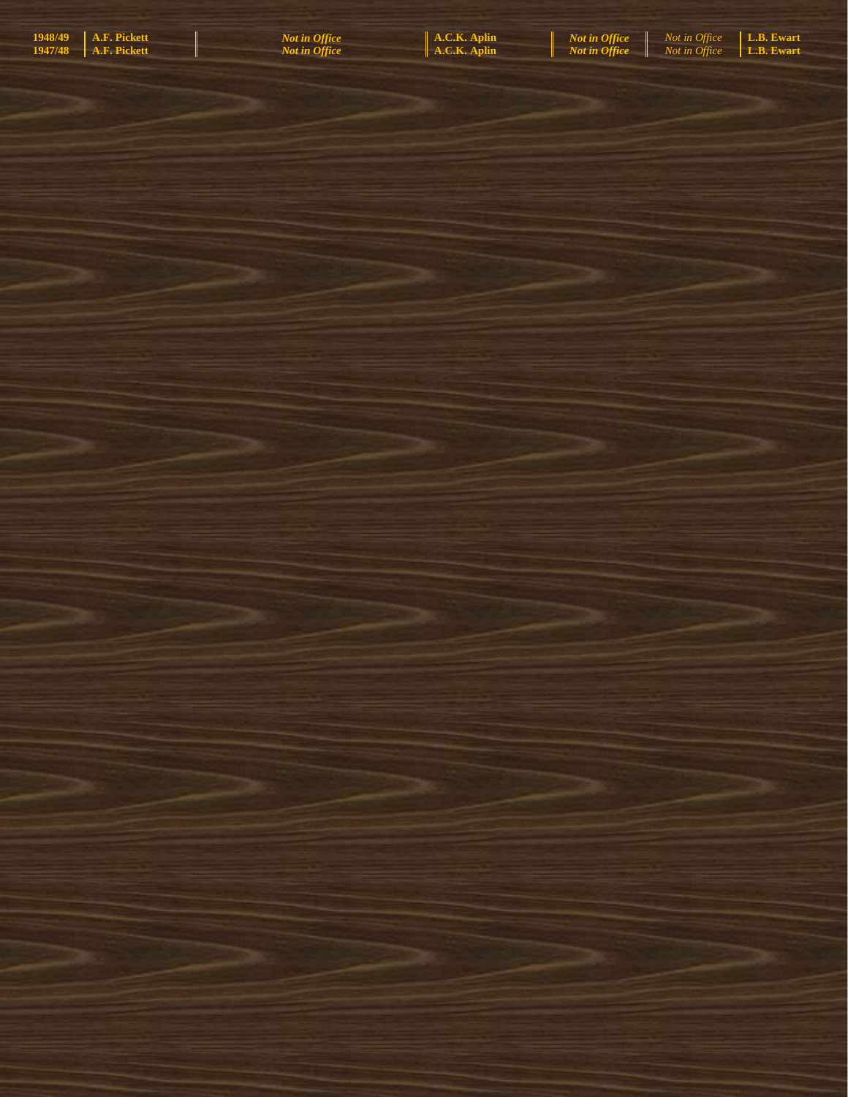| A.F. Pickett<br>1948/49<br>1947/48 | <b>Not in Office</b><br>Not in <b>Office</b> | A.C.K. Aplin<br>A.C.K. Aplin | <b>Not in Office</b><br>Not in Office | Not in Office<br>Not in Office | L.B. Ewart<br>L.B. Ewart |
|------------------------------------|----------------------------------------------|------------------------------|---------------------------------------|--------------------------------|--------------------------|
|                                    |                                              |                              |                                       |                                |                          |
|                                    |                                              |                              |                                       |                                |                          |
|                                    |                                              |                              |                                       |                                |                          |
|                                    |                                              |                              |                                       |                                |                          |
|                                    |                                              |                              |                                       |                                |                          |
|                                    |                                              |                              |                                       |                                |                          |
|                                    |                                              |                              |                                       |                                |                          |
|                                    |                                              |                              |                                       |                                |                          |
|                                    |                                              |                              |                                       |                                |                          |
|                                    |                                              |                              |                                       |                                |                          |
|                                    |                                              |                              |                                       |                                |                          |
|                                    |                                              |                              |                                       |                                |                          |
|                                    |                                              |                              |                                       |                                |                          |
|                                    |                                              |                              |                                       |                                |                          |
|                                    |                                              |                              |                                       |                                |                          |
|                                    |                                              |                              |                                       |                                |                          |
|                                    |                                              |                              |                                       |                                |                          |
|                                    |                                              |                              |                                       |                                |                          |
| s e port                           | a ya m                                       | an sin                       |                                       |                                |                          |
|                                    |                                              |                              |                                       |                                |                          |